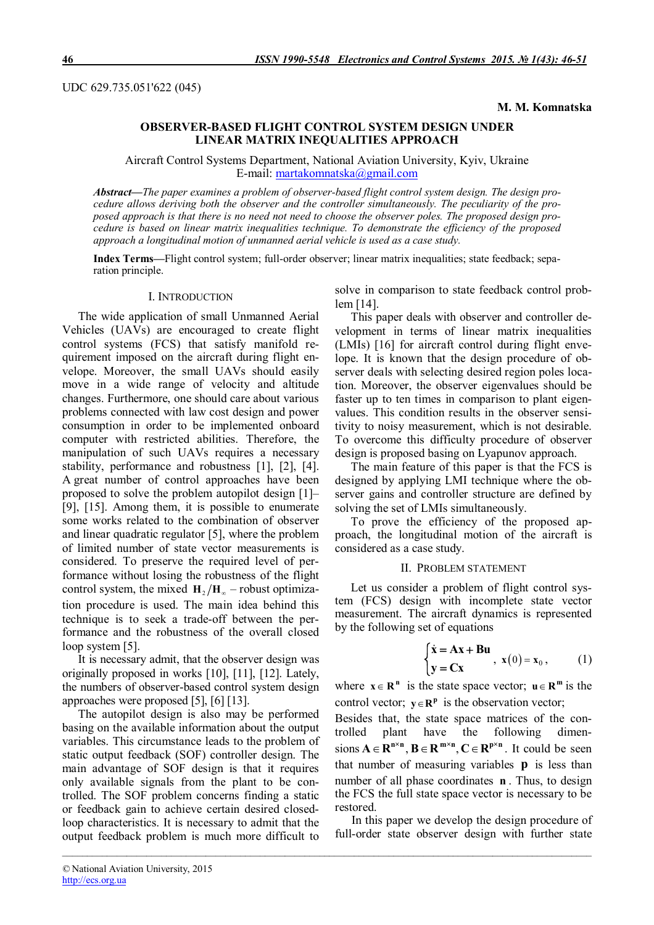UDC 629.735.051'622 (045)

**M. M. Komnatska**

# **OBSERVER-BASED FLIGHT CONTROL SYSTEM DESIGN UNDER LINEAR MATRIX INEQUALITIES APPROACH**

Aircraft Control Systems Department, National Aviation University, Kyiv, Ukraine E-mail: martakomnatska@gmail.com

*Abstract***—***The paper examines a problem of observer-based flight control system design. The design procedure allows deriving both the observer and the controller simultaneously. The peculiarity of the proposed approach is that there is no need not need to choose the observer poles. The proposed design procedure is based on linear matrix inequalities technique. To demonstrate the efficiency of the proposed approach a longitudinal motion of unmanned aerial vehicle is used as a case study.* 

**Index Terms—**Flight control system; full-order observer; linear matrix inequalities; state feedback; separation principle.

*\_\_\_\_\_\_\_\_\_\_\_\_\_\_\_\_\_\_\_\_\_\_\_\_\_\_\_\_\_\_\_\_\_\_\_\_\_\_\_\_\_\_\_\_\_\_\_\_\_\_\_\_\_\_\_\_\_\_\_\_\_\_\_\_\_\_\_\_\_\_\_\_\_\_\_\_\_\_\_\_\_\_\_\_\_\_\_\_\_\_\_\_\_\_\_\_\_\_\_\_\_\_\_\_\_\_\_*

### I. INTRODUCTION

The wide application of small Unmanned Aerial Vehicles (UAVs) are encouraged to create flight control systems (FCS) that satisfy manifold requirement imposed on the aircraft during flight envelope. Moreover, the small UAVs should easily move in a wide range of velocity and altitude changes. Furthermore, one should care about various problems connected with law cost design and power consumption in order to be implemented onboard computer with restricted abilities. Therefore, the manipulation of such UAVs requires a necessary stability, performance and robustness [1], [2], [4]. A great number of control approaches have been proposed to solve the problem autopilot design [1]– [9], [15]. Among them, it is possible to enumerate some works related to the combination of observer and linear quadratic regulator [5], where the problem of limited number of state vector measurements is considered. To preserve the required level of performance without losing the robustness of the flight control system, the mixed  $\mathbf{H}_{2}/\mathbf{H}_{2}$  – robust optimization procedure is used. The main idea behind this technique is to seek a trade-off between the performance and the robustness of the overall closed loop system [5].

It is necessary admit, that the observer design was originally proposed in works [10], [11], [12]. Lately, the numbers of observer-based control system design approaches were proposed [5], [6] [13].

The autopilot design is also may be performed basing on the available information about the output variables. This circumstance leads to the problem of static output feedback (SOF) controller design. The main advantage of SOF design is that it requires only available signals from the plant to be controlled. The SOF problem concerns finding a static or feedback gain to achieve certain desired closedloop characteristics. It is necessary to admit that the output feedback problem is much more difficult to

solve in comparison to state feedback control problem [14].

This paper deals with observer and controller development in terms of linear matrix inequalities (LMIs) [16] for aircraft control during flight envelope. It is known that the design procedure of observer deals with selecting desired region poles location. Moreover, the observer eigenvalues should be faster up to ten times in comparison to plant eigenvalues. This condition results in the observer sensitivity to noisy measurement, which is not desirable. To overcome this difficulty procedure of observer design is proposed basing on Lyapunov approach.

The main feature of this paper is that the FCS is designed by applying LMI technique where the observer gains and controller structure are defined by solving the set of LMIs simultaneously.

To prove the efficiency of the proposed approach, the longitudinal motion of the aircraft is considered as a case study.

#### II. PROBLEM STATEMENT

Let us consider a problem of flight control system (FCS) design with incomplete state vector measurement. The aircraft dynamics is represented by the following set of equations

$$
\begin{cases} \dot{\mathbf{x}} = \mathbf{A}\mathbf{x} + \mathbf{B}\mathbf{u} \\ \mathbf{y} = \mathbf{C}\mathbf{x} \end{cases}, \mathbf{x}(0) = \mathbf{x}_0, \quad (1)
$$

where  $\mathbf{x} \in \mathbb{R}^n$  is the state space vector;  $\mathbf{u} \in \mathbb{R}^m$  is the control vector;  $y \in \mathbb{R}^p$  is the observation vector;

Besides that, the state space matrices of the controlled plant have the following dimensions  $A \in \mathbb{R}^{n \times n}$ ,  $B \in \mathbb{R}^{m \times n}$ ,  $C \in \mathbb{R}^{p \times n}$ . It could be seen that number of measuring variables **p** is less than number of all phase coordinates **n** . Thus, to design the FCS the full state space vector is necessary to be restored.

In this paper we develop the design procedure of full-order state observer design with further state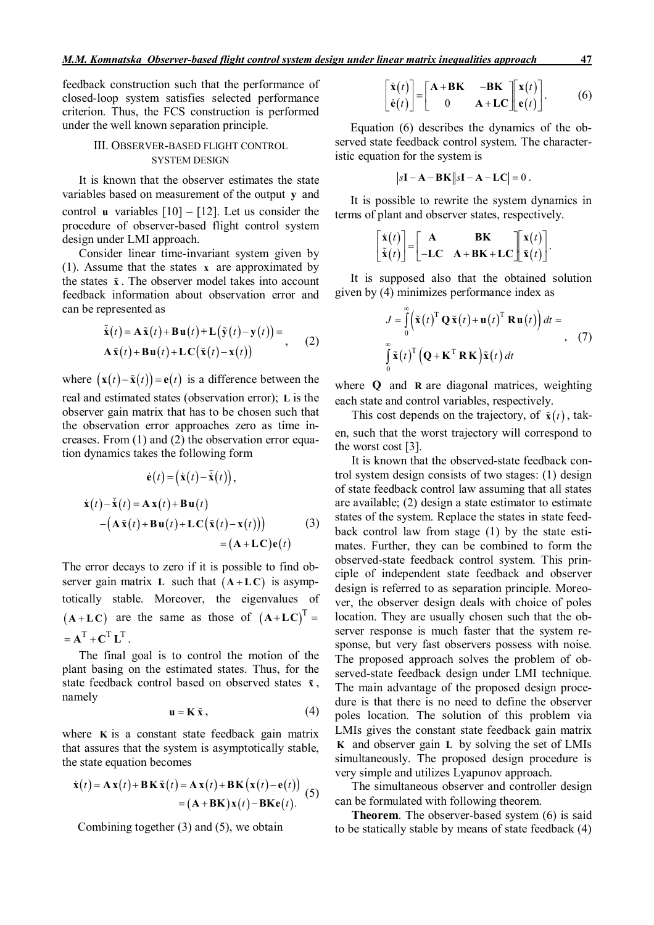feedback construction such that the performance of closed-loop system satisfies selected performance criterion. Thus, the FCS construction is performed under the well known separation principle.

## III. OBSERVER-BASED FLIGHT CONTROL SYSTEM DESIGN

It is known that the observer estimates the state variables based on measurement of the output **y** and control **u** variables  $[10] - [12]$ . Let us consider the procedure of observer-based flight control system design under LMI approach.

Consider linear time-invariant system given by (1). Assume that the states **x** are approximated by the states **x** . The observer model takes into account feedback information about observation error and can be represented as

$$
\tilde{\dot{\mathbf{x}}}(t) = \mathbf{A}\tilde{\mathbf{x}}(t) + \mathbf{B}\mathbf{u}(t) + \mathbf{L}(\tilde{\mathbf{y}}(t) - \mathbf{y}(t)) =
$$
\n
$$
\mathbf{A}\tilde{\mathbf{x}}(t) + \mathbf{B}\mathbf{u}(t) + \mathbf{L}\mathbf{C}(\tilde{\mathbf{x}}(t) - \mathbf{x}(t))
$$
\n(2)

where  $(\mathbf{x}(t) - \tilde{\mathbf{x}}(t)) = \mathbf{e}(t)$  is a difference between the real and estimated states (observation error); **L** is the observer gain matrix that has to be chosen such that the observation error approaches zero as time increases. From (1) and (2) the observation error equation dynamics takes the following form

$$
\dot{\mathbf{e}}(t) = (\dot{\mathbf{x}}(t) - \tilde{\mathbf{x}}(t)),
$$
\n
$$
\dot{\mathbf{x}}(t) - \tilde{\mathbf{x}}(t) = \mathbf{A}\mathbf{x}(t) + \mathbf{B}\mathbf{u}(t)
$$
\n
$$
- (\mathbf{A}\tilde{\mathbf{x}}(t) + \mathbf{B}\mathbf{u}(t) + \mathbf{L}\mathbf{C}(\tilde{\mathbf{x}}(t) - \mathbf{x}(t)))
$$
\n
$$
= (\mathbf{A} + \mathbf{L}\mathbf{C})\mathbf{e}(t)
$$
\n(3)

The error decays to zero if it is possible to find observer gain matrix **L** such that  $(A + LC)$  is asymptotically stable. Moreover, the eigenvalues of  $(A+LC)$  are the same as those of  $(A+LC)^T =$  $= A^T + C^T I^T$ 

The final goal is to control the motion of the plant basing on the estimated states. Thus, for the state feedback control based on observed states **x** , namely

$$
\mathbf{u} = \mathbf{K} \tilde{\mathbf{x}} \,, \tag{4}
$$

where **K** is a constant state feedback gain matrix that assures that the system is asymptotically stable, the state equation becomes

$$
\dot{\mathbf{x}}(t) = \mathbf{A}\mathbf{x}(t) + \mathbf{B}\mathbf{K}\tilde{\mathbf{x}}(t) = \mathbf{A}\mathbf{x}(t) + \mathbf{B}\mathbf{K}\big(\mathbf{x}(t) - \mathbf{e}(t)\big) \n= (\mathbf{A} + \mathbf{B}\mathbf{K})\mathbf{x}(t) - \mathbf{B}\mathbf{K}\mathbf{e}(t).
$$
\n(5)

Combining together (3) and (5), we obtain

$$
\begin{bmatrix} \dot{\mathbf{x}}(t) \\ \dot{\mathbf{e}}(t) \end{bmatrix} = \begin{bmatrix} \mathbf{A} + \mathbf{B} \mathbf{K} & -\mathbf{B} \mathbf{K} \\ 0 & \mathbf{A} + \mathbf{LC} \end{bmatrix} \begin{bmatrix} \mathbf{x}(t) \\ \mathbf{e}(t) \end{bmatrix}.
$$
 (6)

Equation (6) describes the dynamics of the observed state feedback control system. The characteristic equation for the system is

$$
|s\mathbf{I} - \mathbf{A} - \mathbf{B}\mathbf{K}||s\mathbf{I} - \mathbf{A} - \mathbf{L}\mathbf{C}| = 0.
$$

It is possible to rewrite the system dynamics in terms of plant and observer states, respectively.

$$
\begin{bmatrix} \dot{\mathbf{x}}(t) \\ \tilde{\mathbf{x}}(t) \end{bmatrix} = \begin{bmatrix} \mathbf{A} & \mathbf{B}\mathbf{K} \\ -\mathbf{LC} & \mathbf{A} + \mathbf{B}\mathbf{K} + \mathbf{LC} \end{bmatrix} \begin{bmatrix} \mathbf{x}(t) \\ \tilde{\mathbf{x}}(t) \end{bmatrix}.
$$

It is supposed also that the obtained solution given by (4) minimizes performance index as

$$
J = \int_{0}^{\infty} \left( \tilde{\mathbf{x}}(t)^{\mathrm{T}} \mathbf{Q} \tilde{\mathbf{x}}(t) + \mathbf{u}(t)^{\mathrm{T}} \mathbf{R} \mathbf{u}(t) \right) dt =
$$
  

$$
\int_{0}^{\infty} \tilde{\mathbf{x}}(t)^{\mathrm{T}} \left( \mathbf{Q} + \mathbf{K}^{\mathrm{T}} \mathbf{R} \mathbf{K} \right) \tilde{\mathbf{x}}(t) dt
$$
 (7)

where **Q** and **R** are diagonal matrices, weighting each state and control variables, respectively.

This cost depends on the trajectory, of  $\tilde{\mathbf{x}}(t)$ , taken, such that the worst trajectory will correspond to the worst cost [3].

It is known that the observed-state feedback control system design consists of two stages: (1) design of state feedback control law assuming that all states are available; (2) design a state estimator to estimate states of the system. Replace the states in state feedback control law from stage (1) by the state estimates. Further, they can be combined to form the observed-state feedback control system. This principle of independent state feedback and observer design is referred to as separation principle. Moreover, the observer design deals with choice of poles location. They are usually chosen such that the observer response is much faster that the system response, but very fast observers possess with noise. The proposed approach solves the problem of observed-state feedback design under LMI technique. The main advantage of the proposed design procedure is that there is no need to define the observer poles location. The solution of this problem via LMIs gives the constant state feedback gain matrix **K** and observer gain **L** by solving the set of LMIs simultaneously. The proposed design procedure is very simple and utilizes Lyapunov approach.

The simultaneous observer and controller design can be formulated with following theorem.

**Theorem**. The observer-based system (6) is said to be statically stable by means of state feedback (4)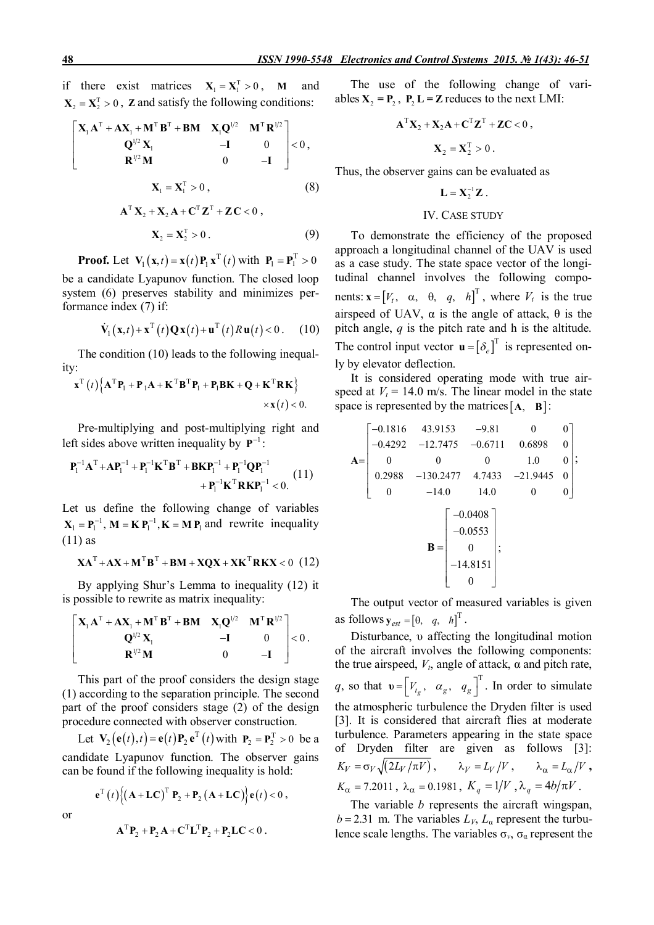if there exist matrices  $X_1 = X_1^T > 0$ , **M** and  $X_2 = X_2^T > 0$ , **Z** and satisfy the following conditions:

$$
\begin{bmatrix} \mathbf{X}_{1} \mathbf{A}^{T} + \mathbf{A} \mathbf{X}_{1} + \mathbf{M}^{T} \mathbf{B}^{T} + \mathbf{B} \mathbf{M} & \mathbf{X}_{1} \mathbf{Q}^{1/2} & \mathbf{M}^{T} \mathbf{R}^{1/2} \\ \mathbf{Q}^{1/2} \mathbf{X}_{1} & -\mathbf{I} & 0 \\ \mathbf{R}^{1/2} \mathbf{M} & 0 & -\mathbf{I} \end{bmatrix} < 0 ,
$$

$$
\mathbf{X}_{1} = \mathbf{X}_{1}^{T} > 0 , \qquad (8)
$$

$$
\mathbf{A}^{\mathrm{T}} \mathbf{X}_2 + \mathbf{X}_2 \mathbf{A} + \mathbf{C}^{\mathrm{T}} \mathbf{Z}^{\mathrm{T}} + \mathbf{Z} \mathbf{C} < 0 ,
$$
\n
$$
\mathbf{X}_2 = \mathbf{X}_2^{\mathrm{T}} > 0 . \tag{9}
$$

**Proof.** Let  $V_1(x,t) = x(t)P_1 x^T(t)$  with  $P_1 = P_1^T > 0$ be a candidate Lyapunov function. The closed loop system (6) preserves stability and minimizes performance index (7) if:

$$
\dot{\mathbf{V}}_1(\mathbf{x},t) + \mathbf{x}^{\mathrm{T}}(t)\mathbf{Q}\mathbf{x}(t) + \mathbf{u}^{\mathrm{T}}(t)R\mathbf{u}(t) < 0. \quad (10)
$$

The condition (10) leads to the following inequality:

$$
\mathbf{x}^{\mathrm{T}}(t)\Big\{\mathbf{A}^{\mathrm{T}}\mathbf{P}_{1}+\mathbf{P}_{1}\mathbf{A}+\mathbf{K}^{\mathrm{T}}\mathbf{B}^{\mathrm{T}}\mathbf{P}_{1}+\mathbf{P}_{1}\mathbf{B}\mathbf{K}+\mathbf{Q}+\mathbf{K}^{\mathrm{T}}\mathbf{R}\mathbf{K}\Big\}\n\times\mathbf{x}(t)<0.
$$

Pre-multiplying and post-multiplying right and left sides above written inequality by  $P^{-1}$ :

$$
\mathbf{P}_{1}^{-1}\mathbf{A}^{T} + \mathbf{A}\mathbf{P}_{1}^{-1} + \mathbf{P}_{1}^{-1}\mathbf{K}^{T}\mathbf{B}^{T} + \mathbf{B}\mathbf{K}\mathbf{P}_{1}^{-1} + \mathbf{P}_{1}^{-1}\mathbf{Q}\mathbf{P}_{1}^{-1} + \mathbf{P}_{1}^{-1}\mathbf{K}^{T}\mathbf{R}\mathbf{K}\mathbf{P}_{1}^{-1} < 0. \tag{11}
$$

Let us define the following change of variables  $X_1 = P_1^{-1}$ ,  $M = K P_1^{-1}$ ,  $K = M P_1$  and rewrite inequality (11) as

$$
\mathbf{XA}^{\mathrm{T}} + \mathbf{AX} + \mathbf{M}^{\mathrm{T}}\mathbf{B}^{\mathrm{T}} + \mathbf{BM} + \mathbf{XQX} + \mathbf{XK}^{\mathrm{T}}\mathbf{R}\mathbf{KX} < 0 \tag{12}
$$

By applying Shur's Lemma to inequality (12) it is possible to rewrite as matrix inequality:

$$
\begin{bmatrix} \mathbf{X}_{1} \mathbf{A}^{T} + \mathbf{A} \mathbf{X}_{1} + \mathbf{M}^{T} \mathbf{B}^{T} + \mathbf{B} \mathbf{M} & \mathbf{X}_{1} \mathbf{Q}^{1/2} & \mathbf{M}^{T} \mathbf{R}^{1/2} \\ \mathbf{Q}^{1/2} \mathbf{X}_{1} & -\mathbf{I} & 0 \\ \mathbf{R}^{1/2} \mathbf{M} & 0 & -\mathbf{I} \end{bmatrix} < 0.
$$

This part of the proof considers the design stage (1) according to the separation principle. The second part of the proof considers stage (2) of the design procedure connected with observer construction.

Let  $\mathbf{V}_2(\mathbf{e}(t), t) = \mathbf{e}(t)\mathbf{P}_2 \mathbf{e}^T(t)$  with  $\mathbf{P}_2 = \mathbf{P}_2^T > 0$  be a candidate Lyapunov function. The observer gains can be found if the following inequality is hold:

$$
\mathbf{e}^{T}(t)\Big\{(\mathbf{A}+\mathbf{L}\mathbf{C})^{T}\mathbf{P}_{2}+\mathbf{P}_{2}(\mathbf{A}+\mathbf{L}\mathbf{C})\Big\}\mathbf{e}(t)<0,
$$

or

$$
\mathbf{A}^{\mathrm{T}}\mathbf{P}_2 + \mathbf{P}_2\mathbf{A} + \mathbf{C}^{\mathrm{T}}\mathbf{L}^{\mathrm{T}}\mathbf{P}_2 + \mathbf{P}_2\mathbf{L}\mathbf{C} < 0.
$$

The use of the following change of variables  $X_2 = P_2$ ,  $P_2 L = Z$  reduces to the next LMI:

$$
\mathbf{A}^{\mathrm{T}} \mathbf{X}_2 + \mathbf{X}_2 \mathbf{A} + \mathbf{C}^{\mathrm{T}} \mathbf{Z}^{\mathrm{T}} + \mathbf{Z} \mathbf{C} < 0 \,,
$$
\n
$$
\mathbf{X}_2 = \mathbf{X}_2^{\mathrm{T}} > 0 \,.
$$

Thus, the observer gains can be evaluated as

$$
\mathbf{L} = \mathbf{X}_2^{-1} \mathbf{Z} .
$$

### IV. CASE STUDY

To demonstrate the efficiency of the proposed approach a longitudinal channel of the UAV is used as a case study. The state space vector of the longitudinal channel involves the following components:  $\mathbf{x} = [V_t, \alpha, \theta, q, h]^T$ , where  $V_t$  is the true airspeed of UAV,  $\alpha$  is the angle of attack, θ is the pitch angle, *q* is the pitch rate and h is the altitude. The control input vector  $\mathbf{u} = [\delta_e]^\text{T}$  is represented only by elevator deflection.

It is considered operating mode with true airspeed at  $V_t = 14.0$  m/s. The linear model in the state space is represented by the matrices  $[A, B]$ :

$$
\mathbf{A} = \begin{bmatrix} -0.1816 & 43.9153 & -9.81 & 0 & 0 \\ -0.4292 & -12.7475 & -0.6711 & 0.6898 & 0 \\ 0 & 0 & 0 & 1.0 & 0 \\ 0.2988 & -130.2477 & 4.7433 & -21.9445 & 0 \\ 0 & -14.0 & 14.0 & 0 & 0 \end{bmatrix};
$$
\n
$$
\mathbf{B} = \begin{bmatrix} -0.0408 \\ -0.0553 \\ 0 \\ -14.8151 \\ 0 \end{bmatrix};
$$

The output vector of measured variables is given as follows  $\mathbf{y}_{est} = \begin{bmatrix} \theta, & q, & h \end{bmatrix}^T$ .

Disturbance, υ affecting the longitudinal motion of the aircraft involves the following components: the true airspeed,  $V_t$ , angle of attack,  $\alpha$  and pitch rate, *q*, so that  $\mathbf{v} = \begin{bmatrix} V_{t_g}, & \alpha_g, & q_g \end{bmatrix}^T$ . In order to simulate the atmospheric turbulence the Dryden filter is used [3]. It is considered that aircraft flies at moderate turbulence. Parameters appearing in the state space of Dryden filter are given as follows [3]:  $K_V = \sigma_V \sqrt{(2L_V/\pi V)}$ ,  $\lambda_V = L_V/V$ ,  $\lambda_\alpha = L_\alpha/V$ ,  $K_{\alpha} = 7.2011$ ,  $\lambda_{\alpha} = 0.1981$ ,  $K_{q} = 1/V$ ,  $\lambda_{q} = 4b/\pi V$ .

The variable *b* represents the aircraft wingspan,  $b = 2.31$  m. The variables  $L_V$ ,  $L_a$  represent the turbulence scale lengths. The variables  $\sigma_{\nu}$ ,  $\sigma_{\alpha}$  represent the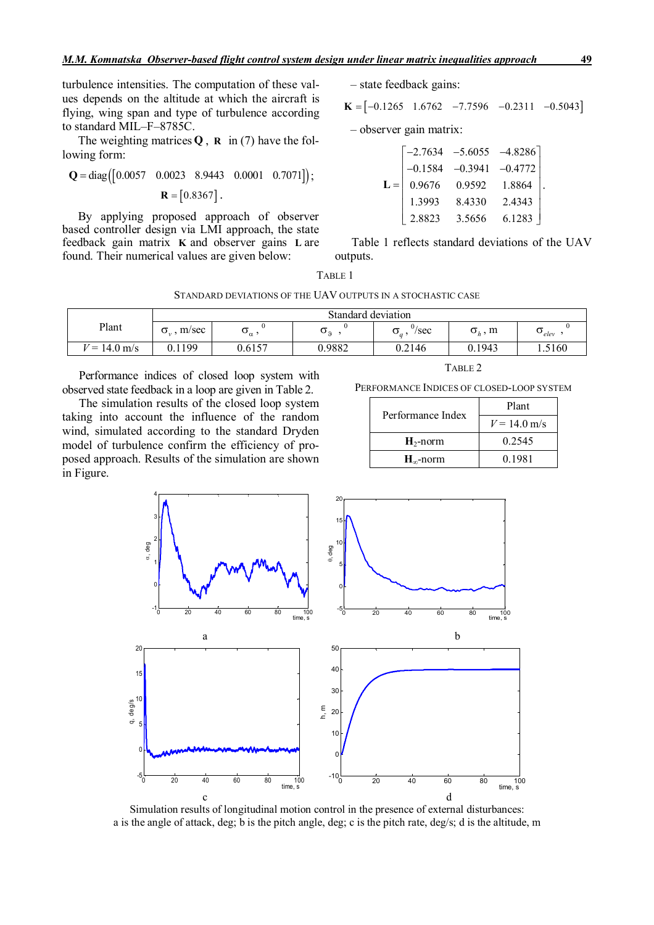The weighting matrices  $Q$ ,  $R$  in (7) have the following form:

$$
\mathbf{Q} = \text{diag}([0.0057 \quad 0.0023 \quad 8.9443 \quad 0.0001 \quad 0.7071]);
$$

$$
\mathbf{R} = [0.8367].
$$

By applying proposed approach of observer based controller design via LMI approach, the state feedback gain matrix **K** and observer gains **L** are found. Their numerical values are given below:

– state feedback gains:

 $K = [-0.1265 \quad 1.6762 \quad -7.7596 \quad -0.2311 \quad -0.5043]$ 

– observer gain matrix:

|       |        |        | $\begin{bmatrix} -2.7634 & -5.6055 & -4.8286 \\ -0.1584 & -0.3941 & -0.4772 \end{bmatrix}$ |  |
|-------|--------|--------|--------------------------------------------------------------------------------------------|--|
|       |        |        |                                                                                            |  |
| $L =$ | 0.9676 | 0.9592 | 1.8864                                                                                     |  |
|       | 1.3993 | 8.4330 | 2.4343                                                                                     |  |
|       | 2.8823 | 3.5656 | 6.1283                                                                                     |  |

Table 1 reflects standard deviations of the UAV outputs.

|--|--|

STANDARD DEVIATIONS OF THE UAV OUTPUTS IN A STOCHASTIC CASE

|                              | Standard deviation        |                     |        |                               |                                           |                        |
|------------------------------|---------------------------|---------------------|--------|-------------------------------|-------------------------------------------|------------------------|
| Plant                        | m/sec<br>$\sigma_{\cdot}$ | $\mathbf{v}_\alpha$ | ഄഀ     | 07<br>/sec<br>$\mathcal{Q}_a$ | m<br>$\sigma_{\scriptscriptstyle h}^{}$ , | $\cup$ <sub>elev</sub> |
| $= 14.0 \text{ m/s}$<br>$ -$ | 0.1199                    | 0.6157              | 0.9882 | 0.2146                        | 0.1943                                    | 1.5160                 |

Performance indices of closed loop system with observed state feedback in a loop are given in Table 2.

The simulation results of the closed loop system taking into account the influence of the random wind, simulated according to the standard Dryden model of turbulence confirm the efficiency of proposed approach. Results of the simulation are shown in Figure.

|--|--|

PERFORMANCE INDICES OF CLOSED-LOOP SYSTEM

| Performance Index  | Plant          |  |
|--------------------|----------------|--|
|                    | $V = 14.0$ m/s |  |
| $H_2$ -norm        | 0.2545         |  |
| $H_{\infty}$ -norm | 0.1981         |  |



Simulation results of longitudinal motion control in the presence of external disturbances: a is the angle of attack, deg; b is the pitch angle, deg; c is the pitch rate, deg/s; d is the altitude, m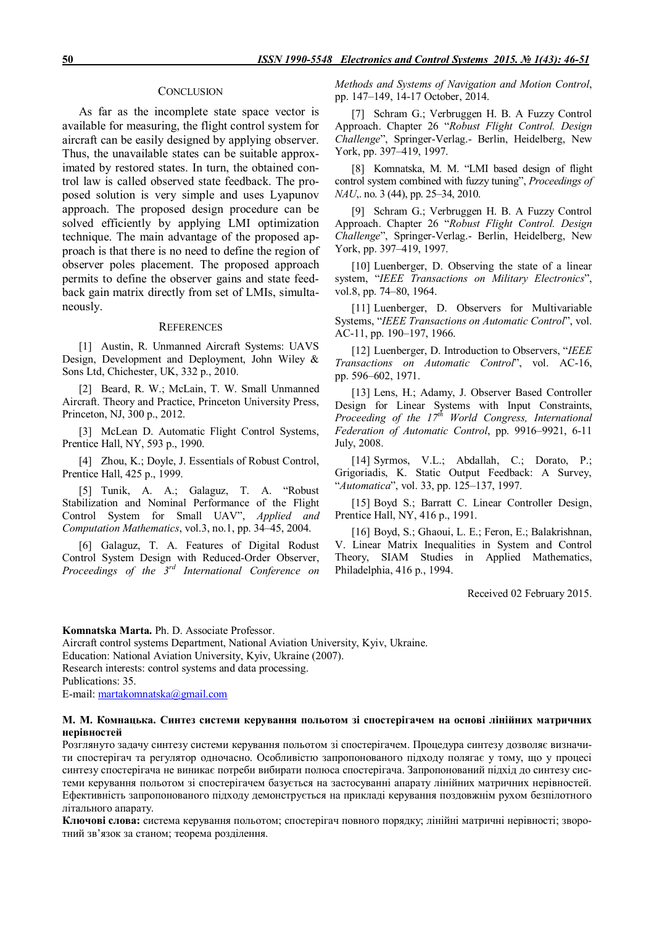#### **CONCLUSION**

As far as the incomplete state space vector is available for measuring, the flight control system for aircraft can be easily designed by applying observer. Thus, the unavailable states can be suitable approximated by restored states. In turn, the obtained control law is called observed state feedback. The proposed solution is very simple and uses Lyapunov approach. The proposed design procedure can be solved efficiently by applying LMI optimization technique. The main advantage of the proposed approach is that there is no need to define the region of observer poles placement. The proposed approach permits to define the observer gains and state feedback gain matrix directly from set of LMIs, simultaneously.

#### **REFERENCES**

[1] Austin, R. Unmanned Aircraft Systems: UAVS Design, Development and Deployment, John Wiley & Sons Ltd, Chichester, UK, 332 p., 2010.

[2] Beard, R. W.; McLain, T. W. Small Unmanned Aircraft. Theory and Practice, Princeton University Press, Princeton, NJ, 300 p., 2012.

[3] McLean D. Automatic Flight Control Systems, Prentice Hall, NY, 593 p., 1990.

[4] Zhou, K.; Doyle, J. Essentials of Robust Control, Prentice Hall, 425 p., 1999.

[5] Tunik, A. A.; Galaguz, T. A. "Robust Stabilization and Nominal Performance of the Flight Control System for Small UAV", *Applied and Computation Mathematics*, vol.3, no.1, pp. 34–45, 2004.

[6] Galaguz, T. A. Features of Digital Rodust Control System Design with Reduced-Order Observer, *Proceedings of the 3rd International Conference on* 

*Methods and Systems of Navigation and Motion Control*, pp. 147–149, 14-17 October, 2014.

[7] Schram G.; Verbruggen H. B. A Fuzzy Control Approach. Chapter 26 "*Robust Flight Control. Design Challenge*", Springer-Verlag.- Berlin, Heidelberg, New York, pp. 397–419, 1997.

[8] Komnatska, M. M. "LMI based design of flight control system combined with fuzzy tuning", *Proceedings of NAU*, no. 3 (44), pp. 25–34, 2010.

[9] Schram G.; Verbruggen H. B. A Fuzzy Control Approach. Chapter 26 "*Robust Flight Control. Design Challenge*", Springer-Verlag.- Berlin, Heidelberg, New York, pp. 397–419, 1997.

[10] Luenberger, D. Observing the state of a linear system, "*IEEE Transactions on Military Electronics*", vol.8, pp. 74–80, 1964.

[11] Luenberger, D. Observers for Multivariable Systems, "*IEEE Transactions on Automatic Control*", vol. AC-11, pp. 190–197, 1966.

[12] Luenberger, D. Introduction to Observers, "*IEEE Transactions on Automatic Control*", vol. AC-16, pp. 596–602, 1971.

[13] Lens, H.; Adamy, J. Observer Based Controller Design for Linear Systems with Input Constraints, *Proceeding of the 17th World Congress, International Federation of Automatic Control*, pp. 9916–9921, 6-11 July, 2008.

[14] Syrmos, V.L.; Abdallah, C.; Dorato, P.; Grigoriadis, K. Static Output Feedback: A Survey, "*Automatica*", vol. 33, pp. 125–137, 1997.

[15] Boyd S.; Barratt C. Linear Controller Design, Prentice Hall, NY, 416 p., 1991.

[16] Boyd, S.; Ghaoui, L. E.; Feron, E.; Balakrishnan, V. Linear Matrix Inequalities in System and Control Theory, SIAM Studies in Applied Mathematics, Philadelphia, 416 p., 1994.

Received 02 February 2015.

**Komnatska Marta.** Ph. D. Associate Professor. Aircraft control systems Department, National Aviation University, Kyiv, Ukraine. Education: National Aviation University, Kyiv, Ukraine (2007). Research interests: control systems and data processing. Publications: 35. E-mail: martakomnatska@gmail.com

#### **М. М. Комнацька. Синтез системи керування польотом зі спостерігачем на основі лінійних матричних нерівностей**

Розглянуто задачу синтезу системи керування польотом зі спостерігачем. Процедура синтезу дозволяє визначити спостерігач та регулятор одночасно. Особливістю запропонованого підходу полягає у тому, що у процесі синтезу спостерігача не виникає потреби вибирати полюса спостерігача. Запропонований підхід до синтезу системи керування польотом зі спостерігачем базується на застосуванні апарату лінійних матричних нерівностей. Ефективність запропонованого підходу демонструється на прикладі керування поздовжнім рухом безпілотного літального апарату.

**Ключові слова:** система керування польотом; спостерігач повного порядку; лінійні матричні нерівності; зворотний зв'язок за станом; теорема розділення.